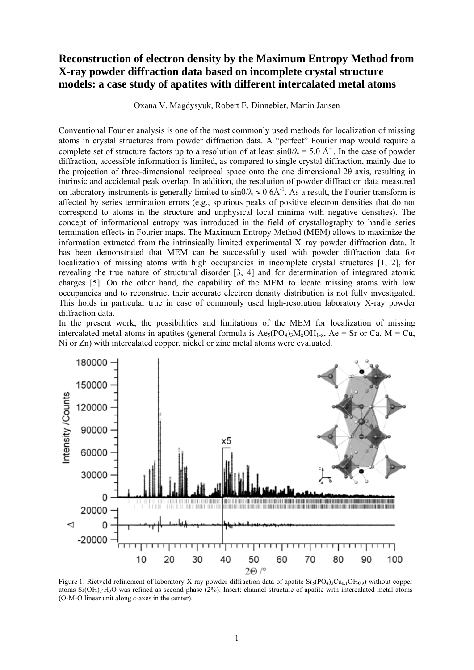## **Reconstruction of electron density by the Maximum Entropy Method from X-ray powder diffraction data based on incomplete crystal structure models: a case study of apatites with different intercalated metal atoms**

Oxana V. Magdysyuk, Robert E. Dinnebier, Martin Jansen

Conventional Fourier analysis is one of the most commonly used methods for localization of missing atoms in crystal structures from powder diffraction data. A "perfect" Fourier map would require a complete set of structure factors up to a resolution of at least  $sin\theta/\lambda = 5.0 \text{ Å}^{-1}$ . In the case of powder diffraction, accessible information is limited, as compared to single crystal diffraction, mainly due to the projection of three-dimensional reciprocal space onto the one dimensional 2θ axis, resulting in intrinsic and accidental peak overlap. In addition, the resolution of powder diffraction data measured on laboratory instruments is generally limited to  $sin\theta/\lambda \approx 0.6\text{\AA}^{-1}$ . As a result, the Fourier transform is affected by series termination errors (e.g., spurious peaks of positive electron densities that do not correspond to atoms in the structure and unphysical local minima with negative densities). The concept of informational entropy was introduced in the field of crystallography to handle series termination effects in Fourier maps. The Maximum Entropy Method (MEM) allows to maximize the information extracted from the intrinsically limited experimental X–ray powder diffraction data. It has been demonstrated that MEM can be successfully used with powder diffraction data for localization of missing atoms with high occupancies in incomplete crystal structures [1, 2], for revealing the true nature of structural disorder [3, 4] and for determination of integrated atomic charges [5]. On the other hand, the capability of the MEM to locate missing atoms with low occupancies and to reconstruct their accurate electron density distribution is not fully investigated. This holds in particular true in case of commonly used high-resolution laboratory X-ray powder diffraction data.

In the present work, the possibilities and limitations of the MEM for localization of missing intercalated metal atoms in apatites (general formula is  $Ae_5(PO_4)$ ,  $M_xOH_{1-x}$ ,  $Ae = Sr$  or Ca,  $M = Cu$ , Ni or Zn) with intercalated copper, nickel or zinc metal atoms were evaluated.



Figure 1: Rietveld refinement of laboratory X-ray powder diffraction data of apatite  $Sr_5(PO_4)_3Cu_{0.1}OH_{0.9}$ ) without copper atoms  $Sr(OH)<sub>2</sub>·H<sub>2</sub>O$  was refined as second phase (2%). Insert: channel structure of apatite with intercalated metal atoms (O-M-O linear unit along *c*-axes in the center).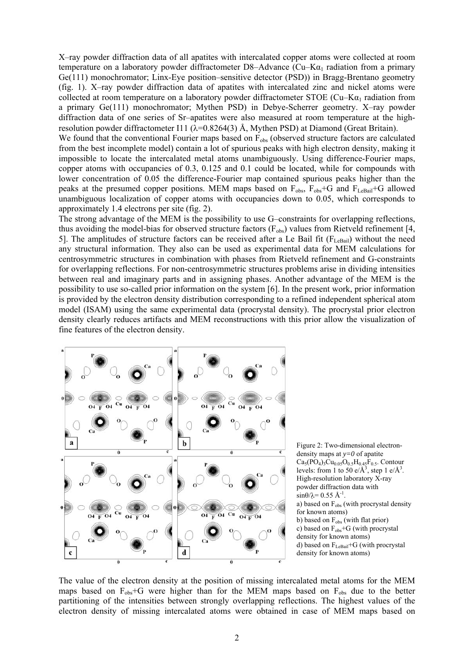X–ray powder diffraction data of all apatites with intercalated copper atoms were collected at room temperature on a laboratory powder diffractometer D8–Advance (Cu–K $\alpha_1$  radiation from a primary Ge(111) monochromator; Linx-Eye position–sensitive detector (PSD)) in Bragg-Brentano geometry (fig. 1). X–ray powder diffraction data of apatites with intercalated zinc and nickel atoms were collected at room temperature on a laboratory powder diffractometer STOE (Cu–K $\alpha_1$  radiation from a primary Ge(111) monochromator; Mythen PSD) in Debye-Scherrer geometry. X–ray powder diffraction data of one series of Sr–apatites were also measured at room temperature at the highresolution powder diffractometer I11 ( $\lambda$ =0.8264(3) Å, Mythen PSD) at Diamond (Great Britain).

We found that the conventional Fourier maps based on  $F_{obs}$  (observed structure factors are calculated from the best incomplete model) contain a lot of spurious peaks with high electron density, making it impossible to locate the intercalated metal atoms unambiguously. Using difference-Fourier maps, copper atoms with occupancies of 0.3, 0.125 and 0.1 could be located, while for compounds with lower concentration of 0.05 the difference-Fourier map contained spurious peaks higher than the peaks at the presumed copper positions. MEM maps based on  $F_{obs}$ ,  $F_{obs}$ +G and  $F_{LeBail}$ +G allowed unambiguous localization of copper atoms with occupancies down to 0.05, which corresponds to approximately 1.4 electrons per site (fig. 2).

The strong advantage of the MEM is the possibility to use G–constraints for overlapping reflections, thus avoiding the model-bias for observed structure factors  $(F_{obs})$  values from Rietveld refinement [4, 5]. The amplitudes of structure factors can be received after a Le Bail fit  $(F_{LeBail})$  without the need any structural information. They also can be used as experimental data for MEM calculations for centrosymmetric structures in combination with phases from Rietveld refinement and G-constraints for overlapping reflections. For non-centrosymmetric structures problems arise in dividing intensities between real and imaginary parts and in assigning phases. Another advantage of the MEM is the possibility to use so-called prior information on the system [6]. In the present work, prior information is provided by the electron density distribution corresponding to a refined independent spherical atom model (ISAM) using the same experimental data (procrystal density). The procrystal prior electron density clearly reduces artifacts and MEM reconstructions with this prior allow the visualization of fine features of the electron density.



Figure 2: Two-dimensional electrondensity maps at *y=0* of apatite  $Ca<sub>5</sub>(PO<sub>4</sub>)<sub>3</sub>Cu<sub>0.05</sub>O<sub>0.5</sub>H<sub>0.45</sub>F<sub>0.5</sub>$ . Contour levels: from 1 to 50 e/ $\AA$ <sup>3</sup>, step 1 e/ $\AA$ <sup>3</sup>. High-resolution laboratory X-ray powder diffraction data with  $sin\theta/\lambda = 0.55 \text{ Å}^{-1}$ a) based on  $F_{obs}$  (with procrystal density for known atoms) b) based on F<sub>obs</sub> (with flat prior) c) based on  $F_{obs}$ +G (with procrystal density for known atoms) d) based on  $F_{\text{LeBail}}+G$  (with procrystal density for known atoms)

The value of the electron density at the position of missing intercalated metal atoms for the MEM maps based on  $F_{obs}$ +G were higher than for the MEM maps based on  $F_{obs}$  due to the better partitioning of the intensities between strongly overlapping reflections. The highest values of the electron density of missing intercalated atoms were obtained in case of MEM maps based on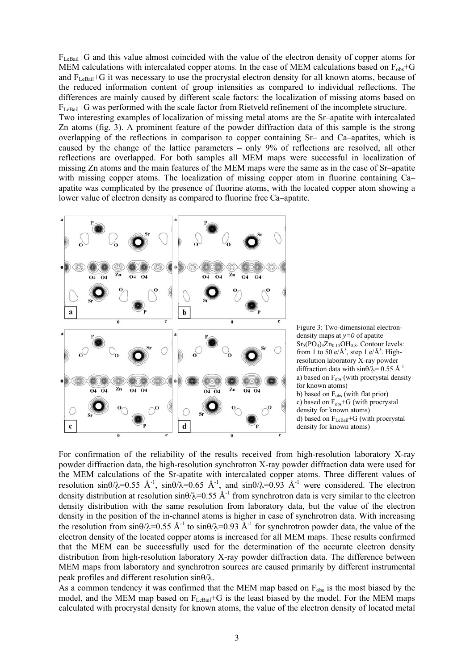$F_{LeBail}$ +G and this value almost coincided with the value of the electron density of copper atoms for MEM calculations with intercalated copper atoms. In the case of MEM calculations based on  $F_{obs}+G$ and  $F_{LeBail}$ +G it was necessary to use the procrystal electron density for all known atoms, because of the reduced information content of group intensities as compared to individual reflections. The differences are mainly caused by different scale factors: the localization of missing atoms based on FLeBail+G was performed with the scale factor from Rietveld refinement of the incomplete structure. Two interesting examples of localization of missing metal atoms are the Sr–apatite with intercalated Zn atoms (fig. 3). A prominent feature of the powder diffraction data of this sample is the strong overlapping of the reflections in comparison to copper containing Sr– and Ca–apatites, which is caused by the change of the lattice parameters – only 9% of reflections are resolved, all other reflections are overlapped. For both samples all MEM maps were successful in localization of missing Zn atoms and the main features of the MEM maps were the same as in the case of Sr–apatite with missing copper atoms. The localization of missing copper atom in fluorine containing Ca– apatite was complicated by the presence of fluorine atoms, with the located copper atom showing a lower value of electron density as compared to fluorine free Ca–apatite.



Figure 3: Two-dimensional electrondensity maps at *y=0* of apatite  $Sr<sub>5</sub>(PO<sub>4</sub>)<sub>3</sub>Zn<sub>0.15</sub>OH<sub>0.8</sub>$ . Contour levels: from 1 to 50  $e/\text{\AA}^3$ , step 1  $e/\text{\AA}^3$ . Highresolution laboratory X-ray powder diffraction data with sin $\theta/\lambda$  = 0.55 Å<sup>-1</sup> a) based on  $F_{obs}$  (with procrystal density for known atoms) b) based on  $F_{obs}$  (with flat prior) c) based on  $F_{obs}$ +G (with procrystal density for known atoms) d) based on F<sub>LeBail</sub>+G (with procrystal density for known atoms)

For confirmation of the reliability of the results received from high-resolution laboratory X-ray powder diffraction data, the high-resolution synchrotron X-ray powder diffraction data were used for the MEM calculations of the Sr-apatite with intercalated copper atoms. Three different values of resolution  $\sin\theta/\lambda=0.55$  Å<sup>-1</sup>,  $\sin\theta/\lambda=0.65$  Å<sup>-1</sup>, and  $\sin\theta/\lambda=0.93$  Å<sup>-1</sup> were considered. The electron density distribution at resolution  $\sin\theta/\lambda=0.55 \text{ Å}^{-1}$  from synchrotron data is very similar to the electron density distribution with the same resolution from laboratory data, but the value of the electron density in the position of the in-channel atoms is higher in case of synchrotron data. With increasing the resolution from  $sin\theta/\lambda=0.55 \text{ Å}^{-1}$  to  $sin\theta/\lambda=0.93 \text{ Å}^{-1}$  for synchrotron powder data, the value of the electron density of the located copper atoms is increased for all MEM maps. These results confirmed that the MEM can be successfully used for the determination of the accurate electron density distribution from high-resolution laboratory X-ray powder diffraction data. The difference between MEM maps from laboratory and synchrotron sources are caused primarily by different instrumental peak profiles and different resolution  $sin\theta/\lambda$ .

As a common tendency it was confirmed that the MEM map based on  $F_{obs}$  is the most biased by the model, and the MEM map based on  $F_{LeBail}$ +G is the least biased by the model. For the MEM maps calculated with procrystal density for known atoms, the value of the electron density of located metal